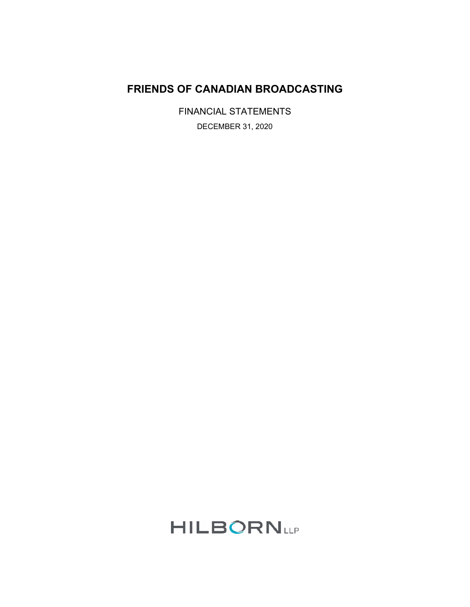## **FRIENDS OF CANADIAN BROADCASTING**

FINANCIAL STATEMENTS DECEMBER 31, 2020

# **HILBORNLLP**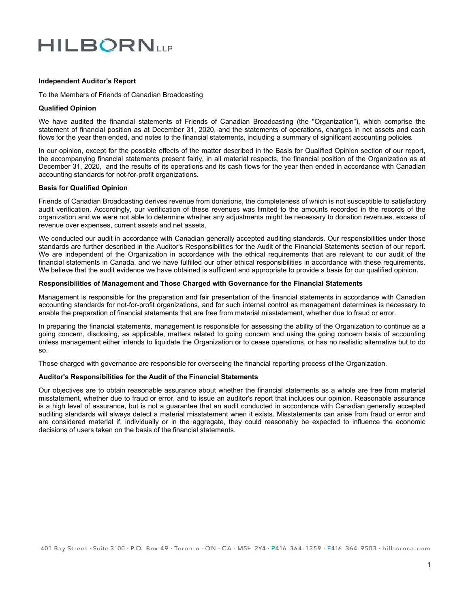# **HILBORNLIP**

#### **Independent Auditor's Report**

To the Members of Friends of Canadian Broadcasting

#### **Qualified Opinion**

We have audited the financial statements of Friends of Canadian Broadcasting (the "Organization"), which comprise the statement of financial position as at December 31, 2020, and the statements of operations, changes in net assets and cash flows for the year then ended, and notes to the financial statements, including a summary of significant accounting policies*.*

In our opinion, except for the possible effects of the matter described in the Basis for Qualified Opinion section of our report, the accompanying financial statements present fairly, in all material respects, the financial position of the Organization as at December 31, 2020, and the results of its operations and its cash flows for the year then ended in accordance with Canadian accounting standards for not-for-profit organizations.

#### **Basis for Qualified Opinion**

Friends of Canadian Broadcasting derives revenue from donations, the completeness of which is not susceptible to satisfactory audit verification. Accordingly, our verification of these revenues was limited to the amounts recorded in the records of the organization and we were not able to determine whether any adjustments might be necessary to donation revenues, excess of revenue over expenses, current assets and net assets.

We conducted our audit in accordance with Canadian generally accepted auditing standards. Our responsibilities under those standards are further described in the Auditor's Responsibilities for the Audit of the Financial Statements section of our report. We are independent of the Organization in accordance with the ethical requirements that are relevant to our audit of the financial statements in Canada, and we have fulfilled our other ethical responsibilities in accordance with these requirements. We believe that the audit evidence we have obtained is sufficient and appropriate to provide a basis for our qualified opinion.

#### **Responsibilities of Management and Those Charged with Governance for the Financial Statements**

Management is responsible for the preparation and fair presentation of the financial statements in accordance with Canadian accounting standards for not-for-profit organizations, and for such internal control as management determines is necessary to enable the preparation of financial statements that are free from material misstatement, whether due to fraud or error.

In preparing the financial statements, management is responsible for assessing the ability of the Organization to continue as a going concern, disclosing, as applicable, matters related to going concern and using the going concern basis of accounting unless management either intends to liquidate the Organization or to cease operations, or has no realistic alternative but to do so.

Those charged with governance are responsible for overseeing the financial reporting process of the Organization.

#### **Auditor's Responsibilities for the Audit of the Financial Statements**

Our objectives are to obtain reasonable assurance about whether the financial statements as a whole are free from material misstatement, whether due to fraud or error, and to issue an auditor's report that includes our opinion. Reasonable assurance is a high level of assurance, but is not a guarantee that an audit conducted in accordance with Canadian generally accepted auditing standards will always detect a material misstatement when it exists. Misstatements can arise from fraud or error and are considered material if, individually or in the aggregate, they could reasonably be expected to influence the economic decisions of users taken on the basis of the financial statements.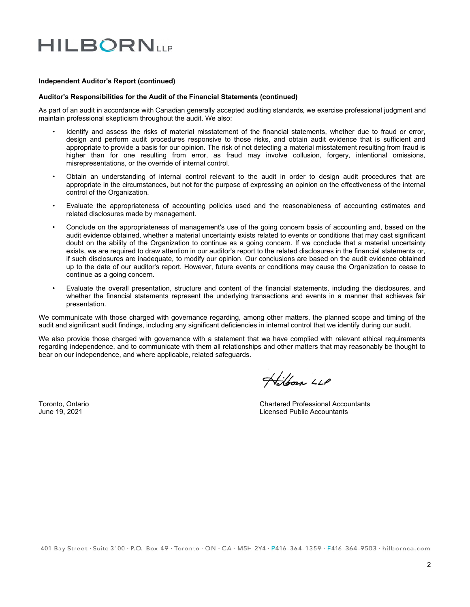# **HILBORNLIP**

#### **Independent Auditor's Report (continued)**

#### **Auditor's Responsibilities for the Audit of the Financial Statements (continued)**

As part of an audit in accordance with Canadian generally accepted auditing standards, we exercise professional judgment and maintain professional skepticism throughout the audit. We also:

- Identify and assess the risks of material misstatement of the financial statements, whether due to fraud or error, design and perform audit procedures responsive to those risks, and obtain audit evidence that is sufficient and appropriate to provide a basis for our opinion. The risk of not detecting a material misstatement resulting from fraud is higher than for one resulting from error, as fraud may involve collusion, forgery, intentional omissions, misrepresentations, or the override of internal control.
- Obtain an understanding of internal control relevant to the audit in order to design audit procedures that are appropriate in the circumstances, but not for the purpose of expressing an opinion on the effectiveness of the internal control of the Organization.
- Evaluate the appropriateness of accounting policies used and the reasonableness of accounting estimates and related disclosures made by management.
- Conclude on the appropriateness of management's use of the going concern basis of accounting and, based on the audit evidence obtained, whether a material uncertainty exists related to events or conditions that may cast significant doubt on the ability of the Organization to continue as a going concern. If we conclude that a material uncertainty exists, we are required to draw attention in our auditor's report to the related disclosures in the financial statements or, if such disclosures are inadequate, to modify our opinion. Our conclusions are based on the audit evidence obtained up to the date of our auditor's report. However, future events or conditions may cause the Organization to cease to continue as a going concern.
- Evaluate the overall presentation, structure and content of the financial statements, including the disclosures, and whether the financial statements represent the underlying transactions and events in a manner that achieves fair presentation.

We communicate with those charged with governance regarding, among other matters, the planned scope and timing of the audit and significant audit findings, including any significant deficiencies in internal control that we identify during our audit.

We also provide those charged with governance with a statement that we have complied with relevant ethical requirements regarding independence, and to communicate with them all relationships and other matters that may reasonably be thought to bear on our independence, and where applicable, related safeguards.

Hilborn LLP

Toronto, Ontario Chartered Professional Accountants June 19, 2021 Licensed Public Accountants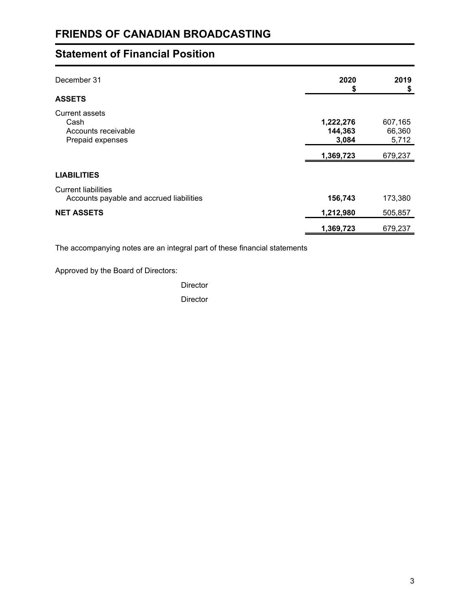# **Statement of Financial Position**

| December 31<br><b>ASSETS</b>                                           | 2020<br>\$                    | 2019<br>\$                 |
|------------------------------------------------------------------------|-------------------------------|----------------------------|
| Current assets<br>Cash<br>Accounts receivable<br>Prepaid expenses      | 1,222,276<br>144,363<br>3,084 | 607,165<br>66,360<br>5,712 |
|                                                                        | 1,369,723                     | 679,237                    |
| <b>LIABILITIES</b>                                                     |                               |                            |
| <b>Current liabilities</b><br>Accounts payable and accrued liabilities | 156,743                       | 173,380                    |
| <b>NET ASSETS</b>                                                      | 1,212,980                     | 505,857                    |
|                                                                        | 1,369,723                     | 679,237                    |

The accompanying notes are an integral part of these financial statements

Approved by the Board of Directors:

**Director** 

**Director**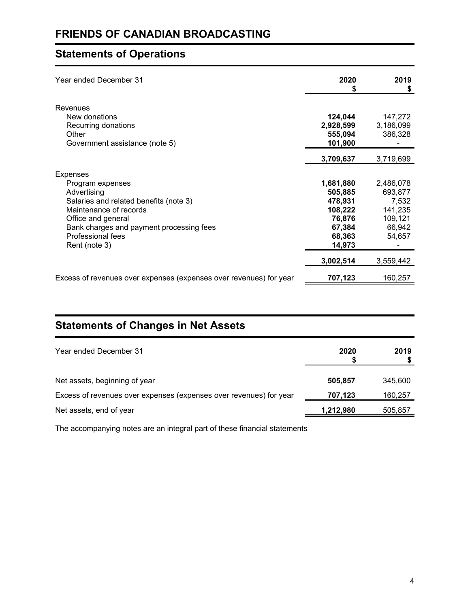# **Statements of Operations**

| Year ended December 31                                             | 2020<br>\$ | 2019<br>\$ |
|--------------------------------------------------------------------|------------|------------|
| <b>Revenues</b><br>New donations                                   | 124,044    | 147,272    |
| Recurring donations                                                | 2,928,599  | 3,186,099  |
| Other                                                              | 555,094    | 386,328    |
| Government assistance (note 5)                                     | 101,900    |            |
|                                                                    | 3,709,637  | 3,719,699  |
| <b>Expenses</b>                                                    |            |            |
| Program expenses                                                   | 1,681,880  | 2,486,078  |
| Advertising                                                        | 505,885    | 693,877    |
| Salaries and related benefits (note 3)                             | 478,931    | 7,532      |
| Maintenance of records                                             | 108,222    | 141,235    |
| Office and general                                                 | 76,876     | 109,121    |
| Bank charges and payment processing fees                           | 67,384     | 66,942     |
| Professional fees                                                  | 68,363     | 54,657     |
| Rent (note 3)                                                      | 14,973     |            |
|                                                                    | 3,002,514  | 3,559,442  |
| Excess of revenues over expenses (expenses over revenues) for year | 707,123    | 160,257    |

# **Statements of Changes in Net Assets**

| Year ended December 31                                             | 2020      | 2019    |
|--------------------------------------------------------------------|-----------|---------|
| Net assets, beginning of year                                      | 505.857   | 345,600 |
| Excess of revenues over expenses (expenses over revenues) for year | 707,123   | 160,257 |
| Net assets, end of year                                            | 1,212,980 | 505,857 |

The accompanying notes are an integral part of these financial statements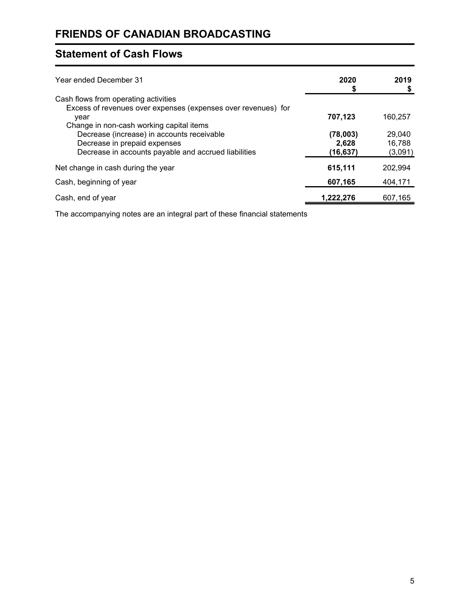# **Statement of Cash Flows**

| Year ended December 31                                                                                            | 2020              | 2019              |
|-------------------------------------------------------------------------------------------------------------------|-------------------|-------------------|
| Cash flows from operating activities                                                                              |                   |                   |
| Excess of revenues over expenses (expenses over revenues) for<br>year<br>Change in non-cash working capital items | 707,123           | 160,257           |
| Decrease (increase) in accounts receivable                                                                        | (78,003)          | 29,040            |
| Decrease in prepaid expenses<br>Decrease in accounts payable and accrued liabilities                              | 2,628<br>(16,637) | 16,788<br>(3,091) |
| Net change in cash during the year                                                                                | 615,111           | 202,994           |
| Cash, beginning of year                                                                                           | 607,165           | 404,171           |
| Cash, end of year                                                                                                 | 1,222,276         | 607,165           |

The accompanying notes are an integral part of these financial statements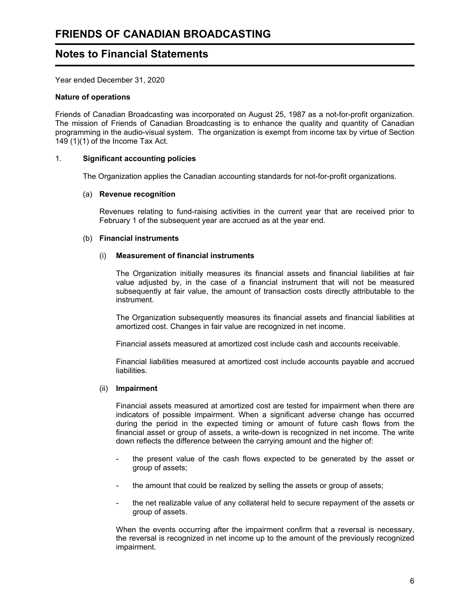## **Notes to Financial Statements**

Year ended December 31, 2020

#### **Nature of operations**

Friends of Canadian Broadcasting was incorporated on August 25, 1987 as a not-for-profit organization. The mission of Friends of Canadian Broadcasting is to enhance the quality and quantity of Canadian programming in the audio-visual system. The organization is exempt from income tax by virtue of Section 149 (1)(1) of the Income Tax Act.

#### 1. **Significant accounting policies**

The Organization applies the Canadian accounting standards for not-for-profit organizations.

#### (a) **Revenue recognition**

Revenues relating to fund-raising activities in the current year that are received prior to February 1 of the subsequent year are accrued as at the year end.

#### (b) **Financial instruments**

#### (i) **Measurement of financial instruments**

The Organization initially measures its financial assets and financial liabilities at fair value adjusted by, in the case of a financial instrument that will not be measured subsequently at fair value, the amount of transaction costs directly attributable to the instrument.

The Organization subsequently measures its financial assets and financial liabilities at amortized cost. Changes in fair value are recognized in net income.

Financial assets measured at amortized cost include cash and accounts receivable.

Financial liabilities measured at amortized cost include accounts payable and accrued liabilities.

#### (ii) **Impairment**

Financial assets measured at amortized cost are tested for impairment when there are indicators of possible impairment. When a significant adverse change has occurred during the period in the expected timing or amount of future cash flows from the financial asset or group of assets, a write-down is recognized in net income. The write down reflects the difference between the carrying amount and the higher of:

- the present value of the cash flows expected to be generated by the asset or group of assets;
- the amount that could be realized by selling the assets or group of assets;
- the net realizable value of any collateral held to secure repayment of the assets or group of assets.

When the events occurring after the impairment confirm that a reversal is necessary, the reversal is recognized in net income up to the amount of the previously recognized impairment.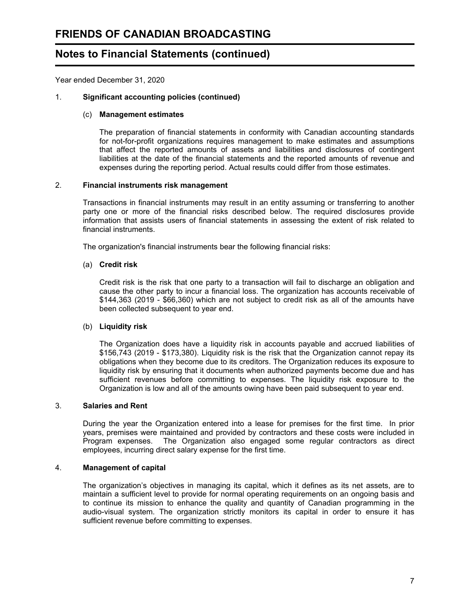## **Notes to Financial Statements (continued)**

Year ended December 31, 2020

#### 1. **Significant accounting policies (continued)**

#### (c) **Management estimates**

The preparation of financial statements in conformity with Canadian accounting standards for not-for-profit organizations requires management to make estimates and assumptions that affect the reported amounts of assets and liabilities and disclosures of contingent liabilities at the date of the financial statements and the reported amounts of revenue and expenses during the reporting period. Actual results could differ from those estimates.

#### 2. **Financial instruments risk management**

Transactions in financial instruments may result in an entity assuming or transferring to another party one or more of the financial risks described below. The required disclosures provide information that assists users of financial statements in assessing the extent of risk related to financial instruments.

The organization's financial instruments bear the following financial risks:

#### (a) **Credit risk**

Credit risk is the risk that one party to a transaction will fail to discharge an obligation and cause the other party to incur a financial loss. The organization has accounts receivable of \$144,363 (2019 - \$66,360) which are not subject to credit risk as all of the amounts have been collected subsequent to year end.

#### (b) **Liquidity risk**

The Organization does have a liquidity risk in accounts payable and accrued liabilities of \$156,743 (2019 - \$173,380). Liquidity risk is the risk that the Organization cannot repay its obligations when they become due to its creditors. The Organization reduces its exposure to liquidity risk by ensuring that it documents when authorized payments become due and has sufficient revenues before committing to expenses. The liquidity risk exposure to the Organization is low and all of the amounts owing have been paid subsequent to year end.

#### 3. **Salaries and Rent**

During the year the Organization entered into a lease for premises for the first time. In prior years, premises were maintained and provided by contractors and these costs were included in Program expenses. The Organization also engaged some regular contractors as direct employees, incurring direct salary expense for the first time.

#### 4. **Management of capital**

The organization's objectives in managing its capital, which it defines as its net assets, are to maintain a sufficient level to provide for normal operating requirements on an ongoing basis and to continue its mission to enhance the quality and quantity of Canadian programming in the audio-visual system. The organization strictly monitors its capital in order to ensure it has sufficient revenue before committing to expenses.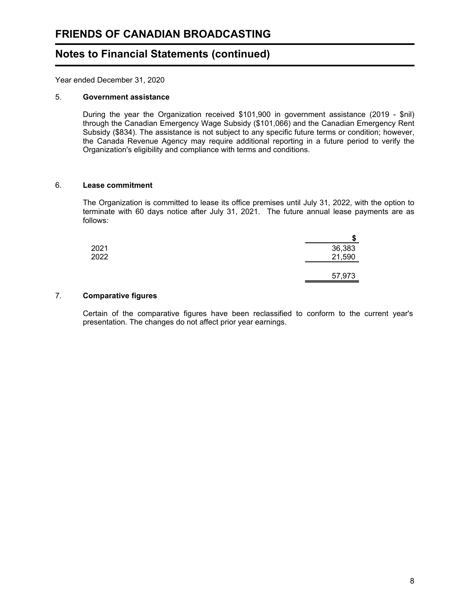## **Notes to Financial Statements (continued)**

Year ended December 31, 2020

#### 5. **Government assistance**

During the year the Organization received \$101,900 in government assistance (2019 - \$nil) through the Canadian Emergency Wage Subsidy (\$101,066) and the Canadian Emergency Rent Subsidy (\$834). The assistance is not subject to any specific future terms or condition; however, the Canada Revenue Agency may require additional reporting in a future period to verify the Organization's eligibility and compliance with terms and conditions.

#### 6. **Lease commitment**

The Organization is committed to lease its office premises until July 31, 2022, with the option to terminate with 60 days notice after July 31, 2021. The future annual lease payments are as follows:

|      | œ<br>æ |
|------|--------|
| 2021 | 36,383 |
| 2022 | 21,590 |
|      |        |
|      | 57,973 |

#### 7. **Comparative figures**

Certain of the comparative figures have been reclassified to conform to the current year's presentation. The changes do not affect prior year earnings.